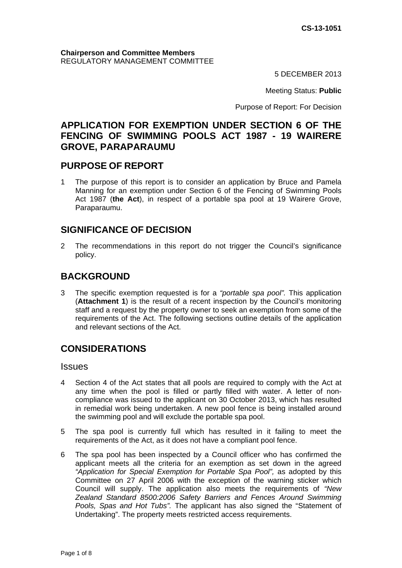5 DECEMBER 2013

Meeting Status: **Public**

Purpose of Report: For Decision

# **APPLICATION FOR EXEMPTION UNDER SECTION 6 OF THE FENCING OF SWIMMING POOLS ACT 1987 - 19 WAIRERE GROVE, PARAPARAUMU**

# **PURPOSE OF REPORT**

1 The purpose of this report is to consider an application by Bruce and Pamela Manning for an exemption under Section 6 of the Fencing of Swimming Pools Act 1987 (**the Act**), in respect of a portable spa pool at 19 Wairere Grove, Paraparaumu.

# **SIGNIFICANCE OF DECISION**

2 The recommendations in this report do not trigger the Council's significance policy.

# **BACKGROUND**

3 The specific exemption requested is for a *"portable spa pool".* This application (**Attachment 1**) is the result of a recent inspection by the Council's monitoring staff and a request by the property owner to seek an exemption from some of the requirements of the Act. The following sections outline details of the application and relevant sections of the Act.

# **CONSIDERATIONS**

**Issues** 

- 4 Section 4 of the Act states that all pools are required to comply with the Act at any time when the pool is filled or partly filled with water. A letter of noncompliance was issued to the applicant on 30 October 2013, which has resulted in remedial work being undertaken. A new pool fence is being installed around the swimming pool and will exclude the portable spa pool.
- 5 The spa pool is currently full which has resulted in it failing to meet the requirements of the Act, as it does not have a compliant pool fence.
- 6 The spa pool has been inspected by a Council officer who has confirmed the applicant meets all the criteria for an exemption as set down in the agreed *"Application for Special Exemption for Portable Spa Pool",* as adopted by this Committee on 27 April 2006 with the exception of the warning sticker which Council will supply. The application also meets the requirements of *"New Zealand Standard 8500:2006 Safety Barriers and Fences Around Swimming Pools, Spas and Hot Tubs".* The applicant has also signed the "Statement of Undertaking". The property meets restricted access requirements.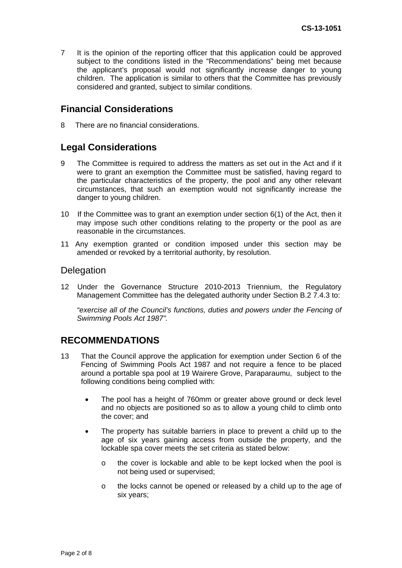7 It is the opinion of the reporting officer that this application could be approved subject to the conditions listed in the "Recommendations" being met because the applicant's proposal would not significantly increase danger to young children. The application is similar to others that the Committee has previously considered and granted, subject to similar conditions.

# **Financial Considerations**

8 There are no financial considerations.

# **Legal Considerations**

- 9 The Committee is required to address the matters as set out in the Act and if it were to grant an exemption the Committee must be satisfied, having regard to the particular characteristics of the property, the pool and any other relevant circumstances, that such an exemption would not significantly increase the danger to young children.
- 10 If the Committee was to grant an exemption under section 6(1) of the Act, then it may impose such other conditions relating to the property or the pool as are reasonable in the circumstances.
- 11 Any exemption granted or condition imposed under this section may be amended or revoked by a territorial authority, by resolution.

#### **Delegation**

12 Under the Governance Structure 2010-2013 Triennium, the Regulatory Management Committee has the delegated authority under Section B.2 7.4.3 to:

*"exercise all of the Council's functions, duties and powers under the Fencing of Swimming Pools Act 1987".* 

## **RECOMMENDATIONS**

- 13 That the Council approve the application for exemption under Section 6 of the Fencing of Swimming Pools Act 1987 and not require a fence to be placed around a portable spa pool at 19 Wairere Grove, Paraparaumu, subject to the following conditions being complied with:
	- The pool has a height of 760mm or greater above ground or deck level and no objects are positioned so as to allow a young child to climb onto the cover; and
	- The property has suitable barriers in place to prevent a child up to the age of six years gaining access from outside the property, and the lockable spa cover meets the set criteria as stated below:
		- o the cover is lockable and able to be kept locked when the pool is not being used or supervised;
		- o the locks cannot be opened or released by a child up to the age of six years;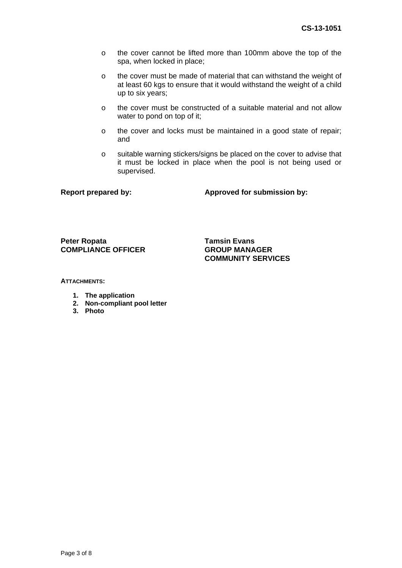- o the cover cannot be lifted more than 100mm above the top of the spa, when locked in place;
- o the cover must be made of material that can withstand the weight of at least 60 kgs to ensure that it would withstand the weight of a child up to six years;
- o the cover must be constructed of a suitable material and not allow water to pond on top of it;
- o the cover and locks must be maintained in a good state of repair; and
- o suitable warning stickers/signs be placed on the cover to advise that it must be locked in place when the pool is not being used or supervised.

Report prepared by: **Approved for submission by:**  $\blacksquare$ 

**Peter Ropata** Tamsin Evans<br>
COMPLIANCE OFFICER GROUP MANAGER **COMPLIANCE OFFICER** 

**COMMUNITY SERVICES** 

**ATTACHMENTS:** 

- **1. The application**
- **2. Non-compliant pool letter**
- **3. Photo**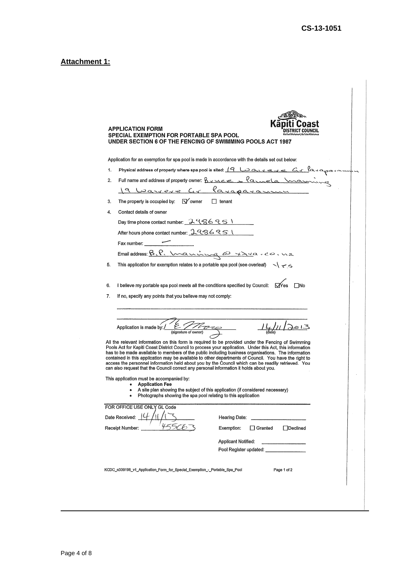### **Attachment 1:**

|    | <b>APPLICATION FORM</b><br><b>SPECIAL EXEMPTION FOR PORTABLE SPA POOL</b><br>UNDER SECTION 6 OF THE FENCING OF SWIMMING POOLS ACT 1987                                                                                                                                                                                                                                                                                                                                                                                                                                                                                                                                                           |
|----|--------------------------------------------------------------------------------------------------------------------------------------------------------------------------------------------------------------------------------------------------------------------------------------------------------------------------------------------------------------------------------------------------------------------------------------------------------------------------------------------------------------------------------------------------------------------------------------------------------------------------------------------------------------------------------------------------|
|    | Application for an exemption for spa pool is made in accordance with the details set out below:                                                                                                                                                                                                                                                                                                                                                                                                                                                                                                                                                                                                  |
| 1. | Physical address of property where spa pool is sited: 19 LOONVERVER C. Alayangan                                                                                                                                                                                                                                                                                                                                                                                                                                                                                                                                                                                                                 |
| 2. | Full name and address of property owner: $\frac{\beta_{y}u_{c}e_{c}}{\beta_{x}u_{c}e_{c}}$                                                                                                                                                                                                                                                                                                                                                                                                                                                                                                                                                                                                       |
|    | 19 Warrere Gr Paraparamme                                                                                                                                                                                                                                                                                                                                                                                                                                                                                                                                                                                                                                                                        |
| 3. | The property is occupied by: $\sqrt{V}$ owner $\Box$ tenant                                                                                                                                                                                                                                                                                                                                                                                                                                                                                                                                                                                                                                      |
| 4. | Contact details of owner                                                                                                                                                                                                                                                                                                                                                                                                                                                                                                                                                                                                                                                                         |
|    | Day time phone contact number: 2986951                                                                                                                                                                                                                                                                                                                                                                                                                                                                                                                                                                                                                                                           |
|    | After hours phone contact number: 2986951                                                                                                                                                                                                                                                                                                                                                                                                                                                                                                                                                                                                                                                        |
|    | Fax number:                                                                                                                                                                                                                                                                                                                                                                                                                                                                                                                                                                                                                                                                                      |
|    |                                                                                                                                                                                                                                                                                                                                                                                                                                                                                                                                                                                                                                                                                                  |
| 5. | This application for exemption relates to a portable spa pool (see overleaf) $\sim$ $\backsim$                                                                                                                                                                                                                                                                                                                                                                                                                                                                                                                                                                                                   |
|    |                                                                                                                                                                                                                                                                                                                                                                                                                                                                                                                                                                                                                                                                                                  |
|    |                                                                                                                                                                                                                                                                                                                                                                                                                                                                                                                                                                                                                                                                                                  |
|    | All the relevant information on this form is required to be provided under the Fencing of Swimming<br>Pools Act for Kapiti Coast District Council to process your application. Under this Act, this information<br>has to be made available to members of the public including business organisations. The information<br>contained in this application may be available to other departments of Council. You have the right to<br>access the personnel information held about you by the Council which can be readily retrieved. You<br>can also request that the Council correct any personal information it holds about you.<br>This application must be accompanied by:<br>• Application Fee |
|    | • A site plan showing the subject of this application (if considered necessary)<br>Photographs showing the spa pool relating to this application                                                                                                                                                                                                                                                                                                                                                                                                                                                                                                                                                 |
|    | FOR OFFICE USE ONLY GL Code                                                                                                                                                                                                                                                                                                                                                                                                                                                                                                                                                                                                                                                                      |
|    | Date Received:<br>Hearing Date:                                                                                                                                                                                                                                                                                                                                                                                                                                                                                                                                                                                                                                                                  |
|    | Exemption:<br>$\Box$ Granted<br>Receipt Number:<br>Declined                                                                                                                                                                                                                                                                                                                                                                                                                                                                                                                                                                                                                                      |
|    | Applicant Notified:                                                                                                                                                                                                                                                                                                                                                                                                                                                                                                                                                                                                                                                                              |
|    | Pool Register updated: Pool Register updated:                                                                                                                                                                                                                                                                                                                                                                                                                                                                                                                                                                                                                                                    |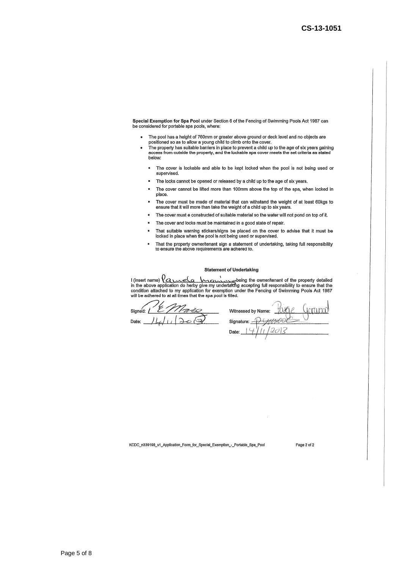Special Exemption for Spa Pool under Section 6 of the Fencing of Swimming Pools Act 1987 can be considered for portable spa pools, where:

- The pool has a height of 760mm or greater above ground or deck level and no objects are<br>positioned so as to allow a young child to climb onto the cover.  $\bullet$
- The property has suitable barriers in place to prevent a child up to the age of six years gaining access from outside the property, and the lockable spa cover meets the set criteria as stated<br>below:
	- ĸ The cover is lockable and able to be kept locked when the pool is not being used or supervised.
	- The locks cannot be opened or released by a child up to the age of six years.  $\blacksquare$
	- **v** The cover cannot be lifted more than 100mm above the top of the spa, when locked in place.
	- The cover must be made of material that can withstand the weight of at least 60kgs to ensure that it will more than take the weight of a child up to six years. j.
	- The cover must e constructed of suitable material so the water will not pond on top of it.  $\mathbf{r}$
	- The cover and locks must be maintained in a good state of repair.
	- That suitable warning stickers/signs be placed on the cover to advise that it must be locked in place when the pool is not being used or supervised.
	- That the property owner/tenant sign a statement of undertaking, taking full responsibility to ensure the above requirements are adhered to.

#### **Statement of Undertaking**

I (insert name)  $Q_{\text{in}}$   $Q_{\text{out}}$  is the constraint of the property detailed<br>in the above application do herby give my undertaking accepting full responsibility to ensure that the<br>condition attached to my application fo  $\ddot{\phantom{1}}$  $I$  (insert name)  $\ell$ a  $\ell$ 

Signed Date:

Witnessed by Name: Signature: Date

KCDC\_n339198\_v1\_Application\_Form\_for\_Special\_Exemption\_-\_Portable\_Spa\_Pool

Page 2 of 2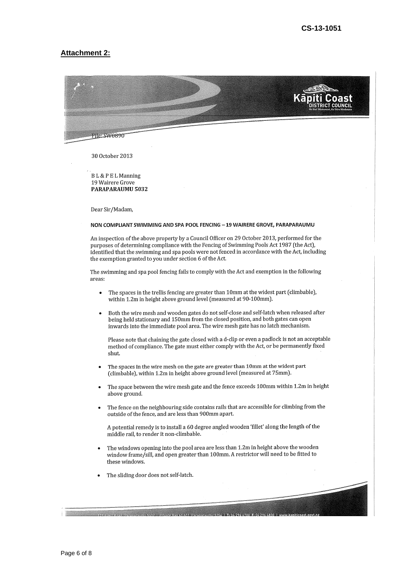#### **Attachment 2:**



30 October 2013

BL&PELManning 19 Wairere Grove PARAPARAUMU 5032

Dear Sir/Madam,

#### NON COMPLIANT SWIMMING AND SPA POOL FENCING - 19 WAIRERE GROVE, PARAPARAUMU

An inspection of the above property by a Council Officer on 29 October 2013, performed for the purposes of determining compliance with the Fencing of Swimming Pools Act 1987 (the Act), identified that the swimming and spa pools were not fenced in accordance with the Act, including the exemption granted to you under section 6 of the Act.

The swimming and spa pool fencing fails to comply with the Act and exemption in the following areas:

- The spaces in the trellis fencing are greater than 10mm at the widest part (climbable),  $\bullet$ within 1.2m in height above ground level (measured at 90-100mm).
- Both the wire mesh and wooden gates do not self-close and self-latch when released after being held stationary and 150mm from the closed position, and both gates can open inwards into the immediate pool area. The wire mesh gate has no latch mechanism.

Please note that chaining the gate closed with a d-clip or even a padlock is not an acceptable method of compliance. The gate must either comply with the Act, or be permanently fixed shut.

- The spaces in the wire mesh on the gate are greater than 10mm at the widest part (climbable), within 1.2m in height above ground level (measured at 75mm).
- The space between the wire mesh gate and the fence exceeds 100mm within 1.2m in height above ground.
- The fence on the neighbouring side contains rails that are accessible for climbing from the outside of the fence, and are less than 900mm apart.

A potential remedy is to install a 60 degree angled wooden 'fillet' along the length of the middle rail to render it non-climbable.

The windows opening into the pool area are less than 1.2m in height above the wooden window frame/sill, and open greater than 100mm. A restrictor will need to be fitted to these windows.

.<br><u>195 Phone Pasit Paranaraumu 5032. L'Private Ban 60 601. Paranaraumu 5254. L'It 04 296 4700. Et 04 296 4830. L</u>'V

The sliding door does not self-latch.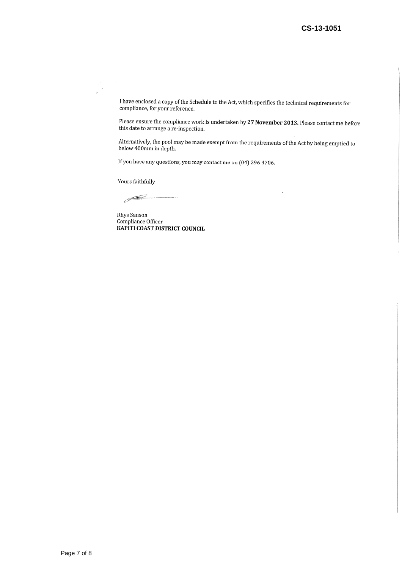I have enclosed a copy of the Schedule to the Act, which specifies the technical requirements for compliance, for your reference.

Please ensure the compliance work is undertaken by 27 November 2013. Please contact me before this date to arrange a re-inspection.

Alternatively, the pool may be made exempt from the requirements of the Act by being emptied to below 400mm in depth.

l,

If you have any questions, you may contact me on (04) 296 4706.

Yours faithfully

 $\sim$   $\alpha$ 

 $\mathcal{A}$  $\overline{a}$ 

 $\begin{picture}(20,20) \put(0,0){\line(1,0){10}} \put(15,0){\line(1,0){10}} \put(15,0){\line(1,0){10}} \put(15,0){\line(1,0){10}} \put(15,0){\line(1,0){10}} \put(15,0){\line(1,0){10}} \put(15,0){\line(1,0){10}} \put(15,0){\line(1,0){10}} \put(15,0){\line(1,0){10}} \put(15,0){\line(1,0){10}} \put(15,0){\line(1,0){10}} \put(15,0){\line(1$ 

Rhys Sanson Compliance Officer KAPITI COAST DISTRICT COUNCIL